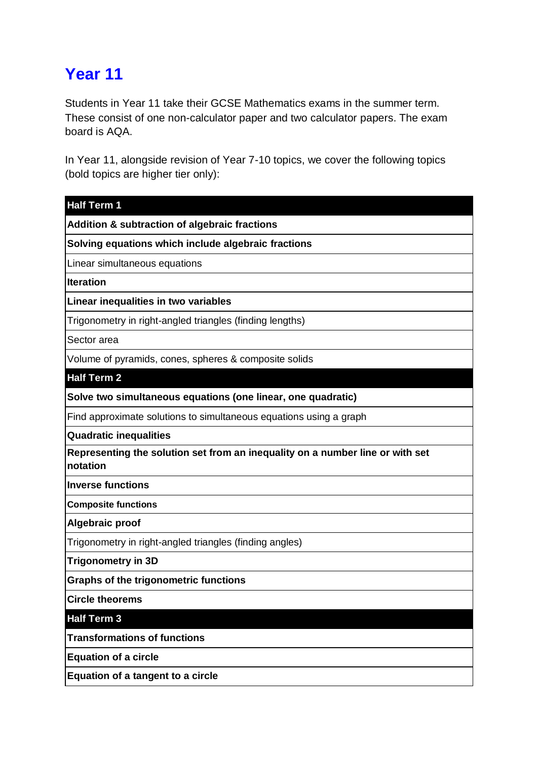## **Year 11**

Students in Year 11 take their GCSE Mathematics exams in the summer term. These consist of one non-calculator paper and two calculator papers. The exam board is AQA.

In Year 11, alongside revision of Year 7-10 topics, we cover the following topics (bold topics are higher tier only):

| <b>Half Term 1</b>                                                                        |
|-------------------------------------------------------------------------------------------|
| <b>Addition &amp; subtraction of algebraic fractions</b>                                  |
| Solving equations which include algebraic fractions                                       |
| Linear simultaneous equations                                                             |
| <b>Iteration</b>                                                                          |
| Linear inequalities in two variables                                                      |
| Trigonometry in right-angled triangles (finding lengths)                                  |
| Sector area                                                                               |
| Volume of pyramids, cones, spheres & composite solids                                     |
| <b>Half Term 2</b>                                                                        |
| Solve two simultaneous equations (one linear, one quadratic)                              |
| Find approximate solutions to simultaneous equations using a graph                        |
| <b>Quadratic inequalities</b>                                                             |
| Representing the solution set from an inequality on a number line or with set<br>notation |
| <b>Inverse functions</b>                                                                  |
| <b>Composite functions</b>                                                                |
| Algebraic proof                                                                           |
| Trigonometry in right-angled triangles (finding angles)                                   |
| <b>Trigonometry in 3D</b>                                                                 |
| <b>Graphs of the trigonometric functions</b>                                              |
| <b>Circle theorems</b>                                                                    |
| <b>Half Term 3</b>                                                                        |
| <b>Transformations of functions</b>                                                       |
| <b>Equation of a circle</b>                                                               |
| Equation of a tangent to a circle                                                         |
|                                                                                           |